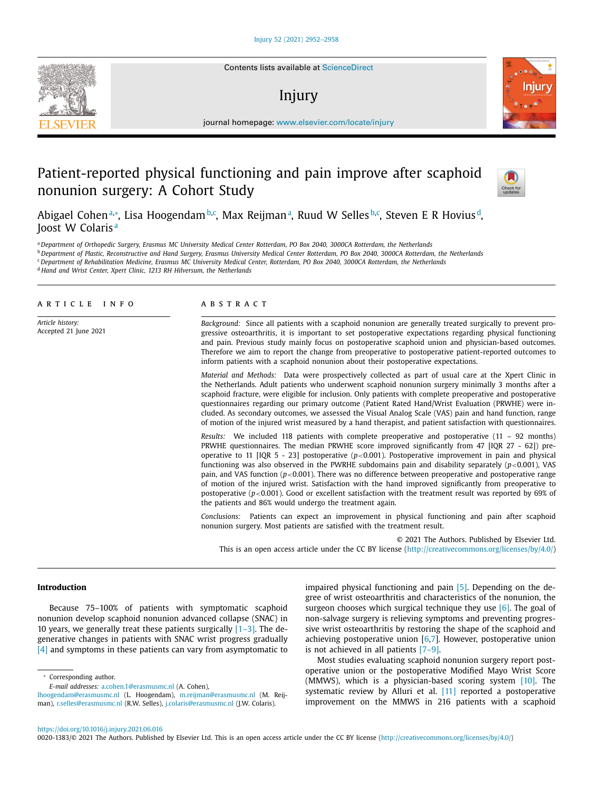Contents lists available at [ScienceDirect](http://www.ScienceDirect.com)

# Injury



journal homepage: [www.elsevier.com/locate/injury](http://www.elsevier.com/locate/injury)

# Patient-reported physical functioning and pain improve after scaphoid nonunion surgery: A Cohort Study



Abigael Cohenª,\*, Lisa Hoogendam<sup>b,c</sup>, Max Reijmanª, Ruud W Selles<sup>b,c</sup>, Steven E R Hoviusª, Joost W Colaris<sup>a</sup>

<sup>a</sup> Department of Orthopedic Surgery, Erasmus MC University Medical Center Rotterdam, PO Box 2040, 3000CA Rotterdam, the Netherlands

<sup>b</sup> Department of Plastic, Reconstructive and Hand Surgery, Erasmus University Medical Center Rotterdam, PO Box 2040, 3000CA Rotterdam, the Netherlands

<sup>c</sup> Department of Rehabilitation Medicine, Erasmus MC University Medical Center, Rotterdam, PO Box 2040, 3000CA Rotterdam, the Netherlands

<sup>d</sup> *Hand and Wrist Center, Xpert Clinic, 1213 RH Hilversum, the Netherlands*

# a r t i c l e i n f o

*Article history:* Accepted 21 June 2021

### a b s t r a c t

*Background:* Since all patients with a scaphoid nonunion are generally treated surgically to prevent progressive osteoarthritis, it is important to set postoperative expectations regarding physical functioning and pain. Previous study mainly focus on postoperative scaphoid union and physician-based outcomes. Therefore we aim to report the change from preoperative to postoperative patient-reported outcomes to inform patients with a scaphoid nonunion about their postoperative expectations.

*Material and Methods:* Data were prospectively collected as part of usual care at the Xpert Clinic in the Netherlands. Adult patients who underwent scaphoid nonunion surgery minimally 3 months after a scaphoid fracture, were eligible for inclusion. Only patients with complete preoperative and postoperative questionnaires regarding our primary outcome (Patient Rated Hand/Wrist Evaluation (PRWHE) were included. As secondary outcomes, we assessed the Visual Analog Scale (VAS) pain and hand function, range of motion of the injured wrist measured by a hand therapist, and patient satisfaction with questionnaires.

*Results:* We included 118 patients with complete preoperative and postoperative (11 – 92 months) PRWHE questionnaires. The median PRWHE score improved significantly from 47 [IQR 27 - 62]) preoperative to 11 [IQR 5 - 23] postoperative  $(p<0.001)$ . Postoperative improvement in pain and physical functioning was also observed in the PWRHE subdomains pain and disability separately (*p*<0.001), VAS pain, and VAS function (*p*<0.001). There was no difference between preoperative and postoperative range of motion of the injured wrist. Satisfaction with the hand improved significantly from preoperative to postoperative (*p*<0.001). Good or excellent satisfaction with the treatment result was reported by 69% of the patients and 86% would undergo the treatment again.

*Conclusions:* Patients can expect an improvement in physical functioning and pain after scaphoid nonunion surgery. Most patients are satisfied with the treatment result.

© 2021 The Authors. Published by Elsevier Ltd. This is an open access article under the CC BY license [\(http://creativecommons.org/licenses/by/4.0/\)](http://creativecommons.org/licenses/by/4.0/)

#### **Introduction**

Because 75–100% of patients with symptomatic scaphoid nonunion develop scaphoid nonunion advanced collapse (SNAC) in 10 years, we generally treat these patients surgically  $[1-3]$ . The degenerative changes in patients with SNAC wrist progress gradually [\[4\]](#page-6-0) and symptoms in these patients can vary from asymptomatic to

<sup>∗</sup> Corresponding author.

impaired physical functioning and pain [\[5\].](#page-6-0) Depending on the degree of wrist osteoarthritis and characteristics of the nonunion, the surgeon chooses which surgical technique they use [\[6\].](#page-6-0) The goal of non-salvage surgery is relieving symptoms and preventing progressive wrist osteoarthritis by restoring the shape of the scaphoid and achieving postoperative union  $[6,7]$ . However, postoperative union is not achieved in all patients [\[7–9\].](#page-6-0)

Most studies evaluating scaphoid nonunion surgery report postoperative union or the postoperative Modified Mayo Wrist Score (MMWS), which is a physician-based scoring system [\[10\].](#page-6-0) The systematic review by Alluri et al. [\[11\]](#page-6-0) reported a postoperative improvement on the MMWS in 216 patients with a scaphoid

0020-1383/© 2021 The Authors. Published by Elsevier Ltd. This is an open access article under the CC BY license [\(http://creativecommons.org/licenses/by/4.0/\)](http://creativecommons.org/licenses/by/4.0/)



*E-mail addresses:* [a.cohen.1@erasmusmc.nl](mailto:a.cohen.1@erasmusmc.nl) (A. Cohen),

[lhoogendam@erasmusmc.nl](mailto:lhoogendam@erasmusmc.nl) (L. Hoogendam), [m.reijman@erasmusmc.nl](mailto:m.reijman@erasmusmc.nl) (M. Reijman), [r.selles@erasmusmc.nl](mailto:r.selles@erasmusmc.nl) (R.W. Selles), [j.colaris@erasmusmc.nl](mailto:j.colaris@erasmusmc.nl) (J.W. Colaris).

<https://doi.org/10.1016/j.injury.2021.06.016>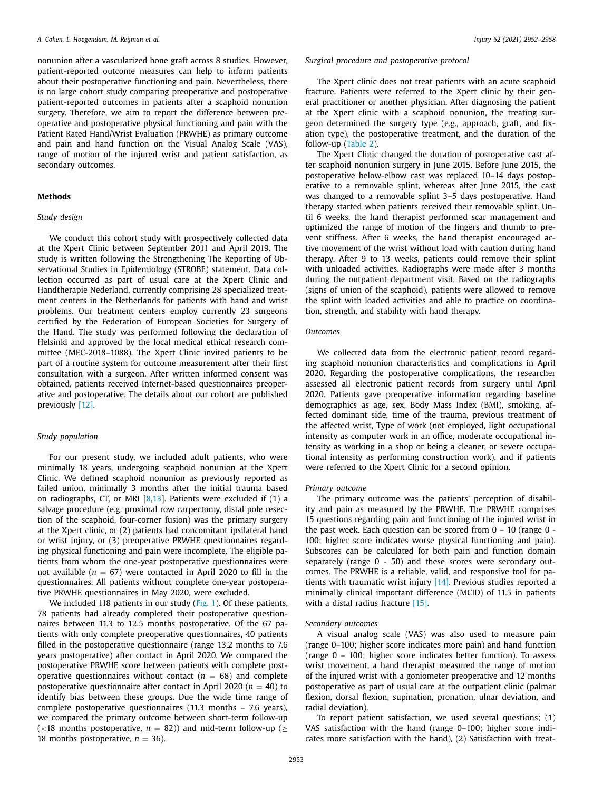nonunion after a vascularized bone graft across 8 studies. However, patient-reported outcome measures can help to inform patients about their postoperative functioning and pain. Nevertheless, there is no large cohort study comparing preoperative and postoperative patient-reported outcomes in patients after a scaphoid nonunion surgery. Therefore, we aim to report the difference between preoperative and postoperative physical functioning and pain with the Patient Rated Hand/Wrist Evaluation (PRWHE) as primary outcome and pain and hand function on the Visual Analog Scale (VAS), range of motion of the injured wrist and patient satisfaction, as secondary outcomes.

#### **Methods**

## *Study design*

We conduct this cohort study with prospectively collected data at the Xpert Clinic between September 2011 and April 2019. The study is written following the Strengthening The Reporting of Observational Studies in Epidemiology (STROBE) statement. Data collection occurred as part of usual care at the Xpert Clinic and Handtherapie Nederland, currently comprising 28 specialized treatment centers in the Netherlands for patients with hand and wrist problems. Our treatment centers employ currently 23 surgeons certified by the Federation of European Societies for Surgery of the Hand. The study was performed following the declaration of Helsinki and approved by the local medical ethical research committee (MEC-2018–1088). The Xpert Clinic invited patients to be part of a routine system for outcome measurement after their first consultation with a surgeon. After written informed consent was obtained, patients received Internet-based questionnaires preoperative and postoperative. The details about our cohort are published previously [\[12\].](#page-6-0)

#### *Study population*

For our present study, we included adult patients, who were minimally 18 years, undergoing scaphoid nonunion at the Xpert Clinic. We defined scaphoid nonunion as previously reported as failed union, minimally 3 months after the initial trauma based on radiographs, CT, or MRI [\[8,13\]](#page-6-0). Patients were excluded if (1) a salvage procedure (e.g. proximal row carpectomy, distal pole resection of the scaphoid, four-corner fusion) was the primary surgery at the Xpert clinic, or (2) patients had concomitant ipsilateral hand or wrist injury, or (3) preoperative PRWHE questionnaires regarding physical functioning and pain were incomplete. The eligible patients from whom the one-year postoperative questionnaires were not available ( $n = 67$ ) were contacted in April 2020 to fill in the questionnaires. All patients without complete one-year postoperative PRWHE questionnaires in May 2020, were excluded.

We included 118 patients in our study [\(Fig.](#page-2-0) 1). Of these patients, 78 patients had already completed their postoperative questionnaires between 11.3 to 12.5 months postoperative. Of the 67 patients with only complete preoperative questionnaires, 40 patients filled in the postoperative questionnaire (range 13.2 months to 7.6 years postoperative) after contact in April 2020. We compared the postoperative PRWHE score between patients with complete postoperative questionnaires without contact  $(n = 68)$  and complete postoperative questionnaire after contact in April 2020 ( $n = 40$ ) to identify bias between these groups. Due the wide time range of complete postoperative questionnaires (11.3 months – 7.6 years), we compared the primary outcome between short-term follow-up (<18 months postoperative,  $n = 82$ )) and mid-term follow-up ( $\ge$ 18 months postoperative,  $n = 36$ ).

#### *Surgical procedure and postoperative protocol*

The Xpert clinic does not treat patients with an acute scaphoid fracture. Patients were referred to the Xpert clinic by their general practitioner or another physician. After diagnosing the patient at the Xpert clinic with a scaphoid nonunion, the treating surgeon determined the surgery type (e.g., approach, graft, and fixation type), the postoperative treatment, and the duration of the follow-up [\(Table](#page-3-0) 2).

The Xpert Clinic changed the duration of postoperative cast after scaphoid nonunion surgery in June 2015. Before June 2015, the postoperative below-elbow cast was replaced 10–14 days postoperative to a removable splint, whereas after June 2015, the cast was changed to a removable splint 3–5 days postoperative. Hand therapy started when patients received their removable splint. Until 6 weeks, the hand therapist performed scar management and optimized the range of motion of the fingers and thumb to prevent stiffness. After 6 weeks, the hand therapist encouraged active movement of the wrist without load with caution during hand therapy. After 9 to 13 weeks, patients could remove their splint with unloaded activities. Radiographs were made after 3 months during the outpatient department visit. Based on the radiographs (signs of union of the scaphoid), patients were allowed to remove the splint with loaded activities and able to practice on coordination, strength, and stability with hand therapy.

# *Outcomes*

We collected data from the electronic patient record regarding scaphoid nonunion characteristics and complications in April 2020. Regarding the postoperative complications, the researcher assessed all electronic patient records from surgery until April 2020. Patients gave preoperative information regarding baseline demographics as age, sex, Body Mass Index (BMI), smoking, affected dominant side, time of the trauma, previous treatment of the affected wrist, Type of work (not employed, light occupational intensity as computer work in an office, moderate occupational intensity as working in a shop or being a cleaner, or severe occupational intensity as performing construction work), and if patients were referred to the Xpert Clinic for a second opinion.

#### *Primary outcome*

The primary outcome was the patients' perception of disability and pain as measured by the PRWHE. The PRWHE comprises 15 questions regarding pain and functioning of the injured wrist in the past week. Each question can be scored from  $0 - 10$  (range  $0 - 1$ 100; higher score indicates worse physical functioning and pain). Subscores can be calculated for both pain and function domain separately (range 0 - 50) and these scores were secondary outcomes. The PRWHE is a reliable, valid, and responsive tool for patients with traumatic wrist injury [\[14\].](#page-6-0) Previous studies reported a minimally clinical important difference (MCID) of 11.5 in patients with a distal radius fracture [\[15\].](#page-6-0)

#### *Secondary outcomes*

A visual analog scale (VAS) was also used to measure pain (range 0–100; higher score indicates more pain) and hand function (range 0 – 100; higher score indicates better function). To assess wrist movement, a hand therapist measured the range of motion of the injured wrist with a goniometer preoperative and 12 months postoperative as part of usual care at the outpatient clinic (palmar flexion, dorsal flexion, supination, pronation, ulnar deviation, and radial deviation).

To report patient satisfaction, we used several questions; (1) VAS satisfaction with the hand (range 0–100; higher score indicates more satisfaction with the hand), (2) Satisfaction with treat-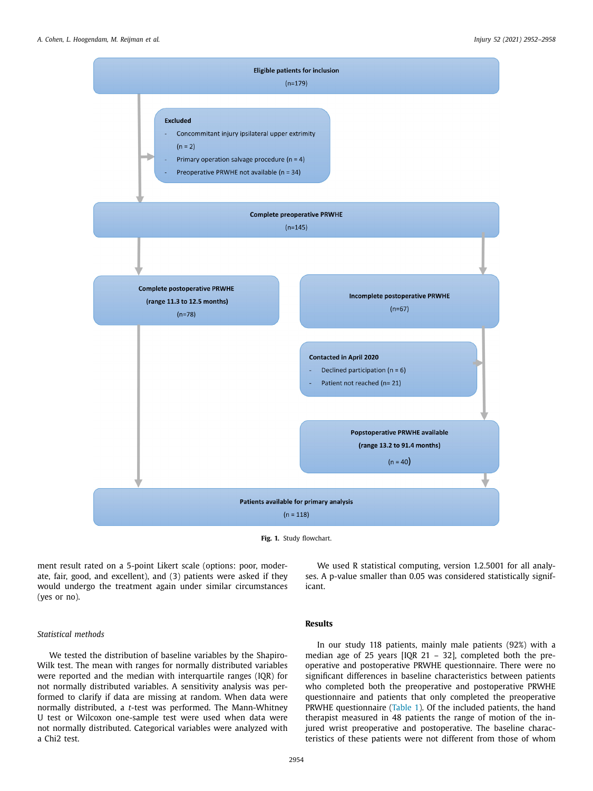<span id="page-2-0"></span>

**Fig. 1.** Study flowchart.

ment result rated on a 5-point Likert scale (options: poor, moderate, fair, good, and excellent), and (3) patients were asked if they would undergo the treatment again under similar circumstances (yes or no).

*Statistical methods*

We tested the distribution of baseline variables by the Shapiro-Wilk test. The mean with ranges for normally distributed variables were reported and the median with interquartile ranges (IQR) for not normally distributed variables. A sensitivity analysis was performed to clarify if data are missing at random. When data were normally distributed, a *t*-test was performed. The Mann-Whitney U test or Wilcoxon one-sample test were used when data were not normally distributed. Categorical variables were analyzed with a Chi2 test.

# **Results**

icant.

In our study 118 patients, mainly male patients (92%) with a median age of 25 years [IQR 21 – 32], completed both the preoperative and postoperative PRWHE questionnaire. There were no significant differences in baseline characteristics between patients who completed both the preoperative and postoperative PRWHE questionnaire and patients that only completed the preoperative PRWHE questionnaire [\(Table](#page-3-0) 1). Of the included patients, the hand therapist measured in 48 patients the range of motion of the injured wrist preoperative and postoperative. The baseline characteristics of these patients were not different from those of whom

We used R statistical computing, version 1.2.5001 for all analyses. A p-value smaller than 0.05 was considered statistically signif-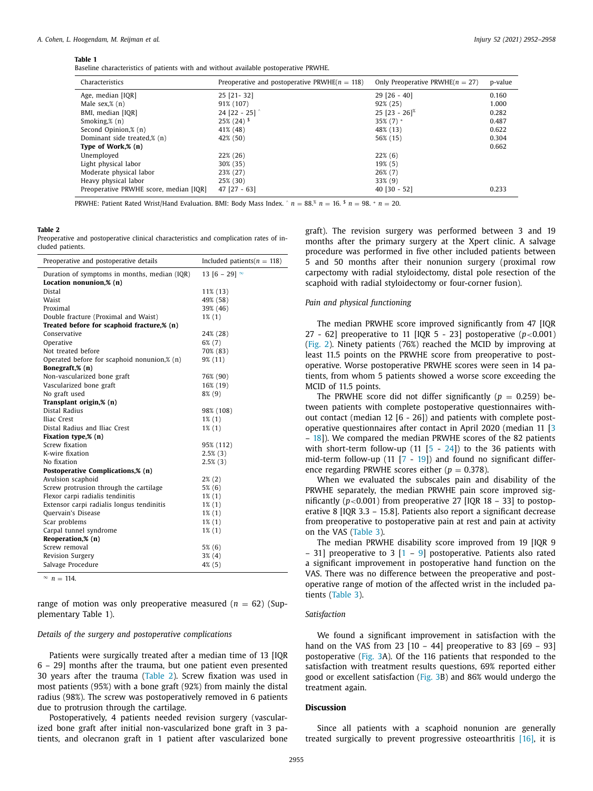#### <span id="page-3-0"></span>**Table 1**

Baseline characteristics of patients with and without available postoperative PRWHE.

| Characteristics                        | Preoperative and postoperative PRWHE( $n = 118$ ) | Only Preoperative PRWHE( $n = 27$ ) | p-value |
|----------------------------------------|---------------------------------------------------|-------------------------------------|---------|
| Age, median [IQR]                      | $25$ [21-32]                                      | $29$ [26 - 40]                      | 0.160   |
| Male sex, $\%$ (n)                     | 91% (107)                                         | 92% (25)                            | 1.000   |
| BMI, median [IQR]                      | 24 [22 - 25] $^{\circ}$                           | $25$ [23 - 26] <sup>%</sup>         | 0.282   |
| Smoking, $\frac{8}{2}$ (n)             | $25\%$ (24) $\frac{1}{2}$                         | $35\%$ (7) $*$                      | 0.487   |
| Second Opinion,% (n)                   | 41% (48)                                          | 48% (13)                            | 0.622   |
| Dominant side treated,% (n)            | 42% (50)                                          | 56% (15)                            | 0.304   |
| Type of Work,% (n)                     |                                                   |                                     | 0.662   |
| Unemployed                             | 22% (26)                                          | $22\%$ (6)                          |         |
| Light physical labor                   | 30% (35)                                          | $19\%$ (5)                          |         |
| Moderate physical labor                | 23% (27)                                          | $26\%$ (7)                          |         |
| Heavy physical labor                   | 25% (30)                                          | $33\%$ (9)                          |         |
| Preoperative PRWHE score, median [IQR] | $47$ [27 - 63]                                    | $40$ [30 - 52]                      | 0.233   |

PRWHE: Patient Rated Wrist/Hand Evaluation. BMI: Body Mass Index. ^  $n = 88$ .<sup>%</sup>  $n = 16$ .  $\frac{5}{n} = 98$ . \*  $n = 20$ .

## **Table 2**

Preoperative and postoperative clinical characteristics and complication rates of included patients.

| Preoperative and postoperative details       | Included patients( $n = 118$ ) |  |  |  |  |
|----------------------------------------------|--------------------------------|--|--|--|--|
| Duration of symptoms in months, median (IQR) | 13 [6 - 29] $^{\infty}$        |  |  |  |  |
| Location nonunion,% (n)                      |                                |  |  |  |  |
| Distal                                       | 11% (13)                       |  |  |  |  |
| Waist                                        | 49% (58)                       |  |  |  |  |
| Proximal                                     | 39% (46)                       |  |  |  |  |
| Double fracture (Proximal and Waist)         | $1\%$ (1)                      |  |  |  |  |
| Treated before for scaphoid fracture,% (n)   |                                |  |  |  |  |
| Conservative                                 | 24% (28)                       |  |  |  |  |
| Operative                                    | $6\%$ (7)                      |  |  |  |  |
| Not treated before                           | 70% (83)                       |  |  |  |  |
| Operated before for scaphoid nonunion,% (n)  | $9\%$ (11)                     |  |  |  |  |
| Bonegraft,% (n)                              |                                |  |  |  |  |
| Non-vascularized bone graft                  | 76% (90)                       |  |  |  |  |
| Vascularized bone graft                      | 16% (19)                       |  |  |  |  |
| No graft used                                | 8% (9)                         |  |  |  |  |
| Transplant origin,% (n)                      |                                |  |  |  |  |
| Distal Radius                                | 98% (108)                      |  |  |  |  |
| Iliac Crest                                  | $1\%$ $(1)$                    |  |  |  |  |
| Distal Radius and Iliac Crest                | $1\%$ $(1)$                    |  |  |  |  |
| Fixation type,% (n)                          |                                |  |  |  |  |
| Screw fixation                               | 95% (112)                      |  |  |  |  |
| K-wire fixation                              | $2.5\%$ (3)                    |  |  |  |  |
| No fixation                                  | $2.5\%$ (3)                    |  |  |  |  |
| Postoperative Complications,% (n)            |                                |  |  |  |  |
| Avulsion scaphoid                            | $2\%$ (2)                      |  |  |  |  |
| Screw protrusion through the cartilage       | $5\%$ (6)                      |  |  |  |  |
| Flexor carpi radialis tendinitis             | $1\%$ (1)                      |  |  |  |  |
| Extensor carpi radialis longus tendinitis    | $1\%$ $(1)$                    |  |  |  |  |
| Ouervain's Disease                           | $1\%$ $(1)$                    |  |  |  |  |
| Scar problems                                | $1\%$ $(1)$                    |  |  |  |  |
| Carpal tunnel syndrome                       | $1\%$ $(1)$                    |  |  |  |  |
| Reoperation,% (n)                            |                                |  |  |  |  |
| Screw removal                                | $5\%$ (6)                      |  |  |  |  |
| Revision Surgery                             | $3\%$ (4)                      |  |  |  |  |
| Salvage Procedure                            | 4% (5)                         |  |  |  |  |

 $∞ n = 114$ .

range of motion was only preoperative measured  $(n = 62)$  (Supplementary Table 1).

#### *Details of the surgery and postoperative complications*

Patients were surgically treated after a median time of 13 [IQR 6 – 29] months after the trauma, but one patient even presented 30 years after the trauma (Table 2). Screw fixation was used in most patients (95%) with a bone graft (92%) from mainly the distal radius (98%). The screw was postoperatively removed in 6 patients due to protrusion through the cartilage.

Postoperatively, 4 patients needed revision surgery (vascularized bone graft after initial non-vascularized bone graft in 3 patients, and olecranon graft in 1 patient after vascularized bone graft). The revision surgery was performed between 3 and 19 months after the primary surgery at the Xpert clinic. A salvage procedure was performed in five other included patients between 5 and 50 months after their nonunion surgery (proximal row carpectomy with radial styloidectomy, distal pole resection of the scaphoid with radial styloidectomy or four-corner fusion).

### *Pain and physical functioning*

The median PRWHE score improved significantly from 47 [IQR 27 - 62] preoperative to 11 [IQR 5 - 23] postoperative  $(p<0.001)$ [\(Fig.](#page-4-0) 2). Ninety patients (76%) reached the MCID by improving at least 11.5 points on the PRWHE score from preoperative to postoperative. Worse postoperative PRWHE scores were seen in 14 patients, from whom 5 patients showed a worse score exceeding the MCID of 11.5 points.

The PRWHE score did not differ significantly ( $p = 0.259$ ) between patients with complete postoperative questionnaires without contact (median 12 [6 - 26]) and patients with complete postoperative questionnaires after contact in April 2020 (median 11 [\[3](#page-6-0) – [18\]](#page-6-0)). We compared the median PRWHE scores of the 82 patients with short-term follow-up (11  $[5 - 24]$  $[5 - 24]$  $[5 - 24]$ ) to the 36 patients with mid-term follow-up (11 [\[7](#page-6-0) - [19\]](#page-6-0)) and found no significant difference regarding PRWHE scores either ( $p = 0.378$ ).

When we evaluated the subscales pain and disability of the PRWHE separately, the median PRWHE pain score improved significantly  $(p<0.001)$  from preoperative 27 [IOR 18 – 33] to postoperative 8 [IQR 3.3 – 15.8]. Patients also report a significant decrease from preoperative to postoperative pain at rest and pain at activity on the VAS [\(Table](#page-4-0) 3).

The median PRWHE disability score improved from 19 [IQR 9 – 31] preoperative to 3  $[1 - 9]$  $[1 - 9]$  $[1 - 9]$  postoperative. Patients also rated a significant improvement in postoperative hand function on the VAS. There was no difference between the preoperative and postoperative range of motion of the affected wrist in the included patients [\(Table](#page-4-0) 3).

#### *Satisfaction*

We found a significant improvement in satisfaction with the hand on the VAS from 23  $[10 - 44]$  preoperative to 83  $[69 - 93]$ postoperative [\(Fig.](#page-5-0) 3A). Of the 116 patients that responded to the satisfaction with treatment results questions, 69% reported either good or excellent satisfaction [\(Fig.](#page-5-0) 3B) and 86% would undergo the treatment again.

# **Discussion**

Since all patients with a scaphoid nonunion are generally treated surgically to prevent progressive osteoarthritis  $[16]$ , it is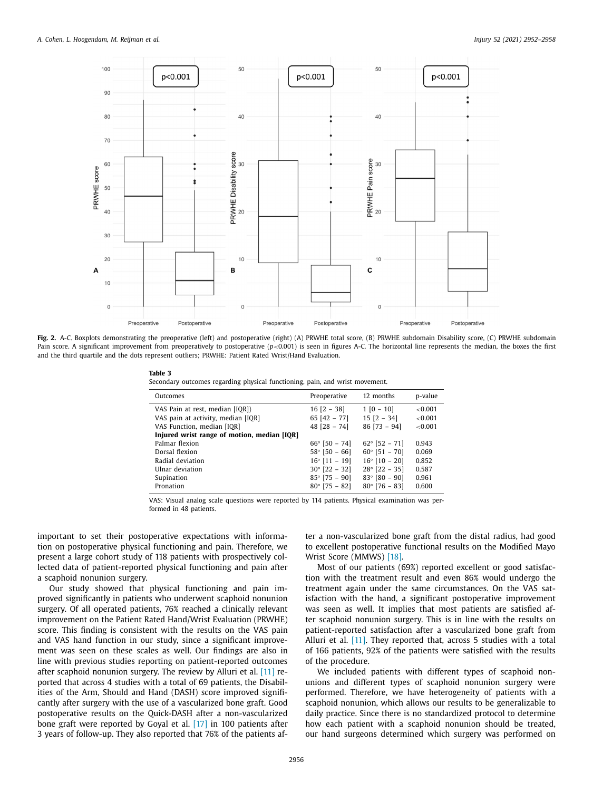<span id="page-4-0"></span>

**Fig. 2.** A-C. Boxplots demonstrating the preoperative (left) and postoperative (right) (A) PRWHE total score, (B) PRWHE subdomain Disability score, (C) PRWHE subdomain Pain score. A significant improvement from preoperatively to postoperative  $(p<0.001)$  is seen in figures A-C. The horizontal line represents the median, the boxes the first and the third quartile and the dots represent outliers; PRWHE: Patient Rated Wrist/Hand Evaluation.

**Table 3**

Secondary outcomes regarding physical functioning, pain, and wrist movement.

| Outcomes                                    | Preoperative           | 12 months              | p-value    |
|---------------------------------------------|------------------------|------------------------|------------|
| VAS Pain at rest, median [IQR])             | $16$ [2 - 38]          | $1 [0 - 10]$           | ${<}0.001$ |
| VAS pain at activity, median [IQR]          | 65 $[42 - 77]$         | $15 [2 - 34]$          | ${<}0.001$ |
| VAS Function, median [IQR]                  | $48$ [28 - 74]         | $86$ [73 - 94]         | ${<}0.001$ |
| Injured wrist range of motion, median [IQR] |                        |                        |            |
| Palmar flexion                              | $66^{\circ}$ [50 - 74] | $62^{\circ}$ [52 - 71] | 0.943      |
| Dorsal flexion                              | $58^{\circ}$ [50 - 66] | $60^{\circ}$ [51 - 70] | 0.069      |
| Radial deviation                            | $16^{\circ}$ [11 - 19] | $16^{\circ}$ [10 - 20] | 0.852      |
| Ulnar deviation                             | $30^{\circ}$ [22 - 32] | $28^{\circ}$ [22 - 35] | 0.587      |
| Supination                                  | $85^{\circ}$ [75 - 90] | $83^{\circ}$ [80 - 90] | 0.961      |
| Pronation                                   | $80^{\circ}$ [75 - 82] | $80^{\circ}$ [76 - 83] | 0.600      |

VAS: Visual analog scale questions were reported by 114 patients. Physical examination was performed in 48 patients.

important to set their postoperative expectations with information on postoperative physical functioning and pain. Therefore, we present a large cohort study of 118 patients with prospectively collected data of patient-reported physical functioning and pain after a scaphoid nonunion surgery.

Our study showed that physical functioning and pain improved significantly in patients who underwent scaphoid nonunion surgery. Of all operated patients, 76% reached a clinically relevant improvement on the Patient Rated Hand/Wrist Evaluation (PRWHE) score. This finding is consistent with the results on the VAS pain and VAS hand function in our study, since a significant improvement was seen on these scales as well. Our findings are also in line with previous studies reporting on patient-reported outcomes after scaphoid nonunion surgery. The review by Alluri et al. [\[11\]](#page-6-0) reported that across 4 studies with a total of 69 patients, the Disabilities of the Arm, Should and Hand (DASH) score improved significantly after surgery with the use of a vascularized bone graft. Good postoperative results on the Quick-DASH after a non-vascularized bone graft were reported by Goyal et al. [\[17\]](#page-6-0) in 100 patients after 3 years of follow-up. They also reported that 76% of the patients after a non-vascularized bone graft from the distal radius, had good to excellent postoperative functional results on the Modified Mayo Wrist Score (MMWS) [\[18\].](#page-6-0)

Most of our patients (69%) reported excellent or good satisfaction with the treatment result and even 86% would undergo the treatment again under the same circumstances. On the VAS satisfaction with the hand, a significant postoperative improvement was seen as well. It implies that most patients are satisfied after scaphoid nonunion surgery. This is in line with the results on patient-reported satisfaction after a vascularized bone graft from Alluri et al. [\[11\].](#page-6-0) They reported that, across 5 studies with a total of 166 patients, 92% of the patients were satisfied with the results of the procedure.

We included patients with different types of scaphoid nonunions and different types of scaphoid nonunion surgery were performed. Therefore, we have heterogeneity of patients with a scaphoid nonunion, which allows our results to be generalizable to daily practice. Since there is no standardized protocol to determine how each patient with a scaphoid nonunion should be treated, our hand surgeons determined which surgery was performed on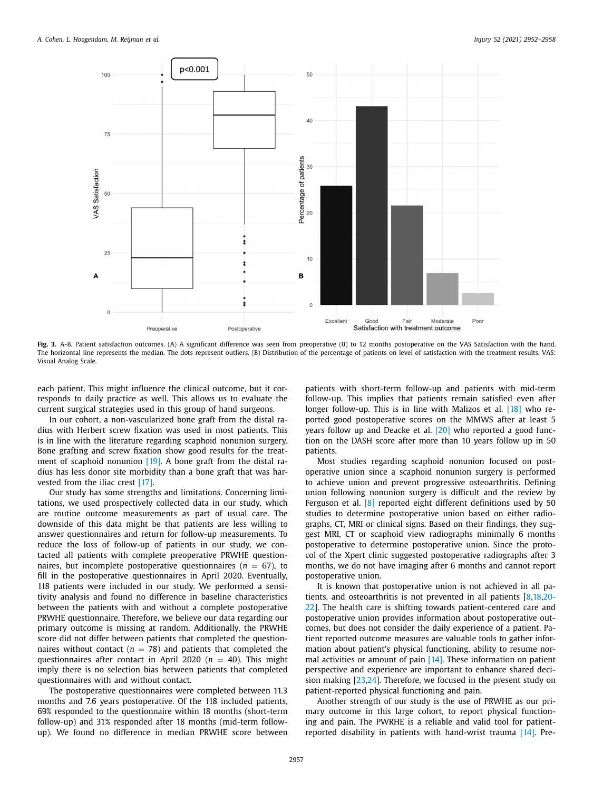<span id="page-5-0"></span>

Fig. 3. A-B. Patient satisfaction outcomes. (A) A significant difference was seen from preoperative (0) to 12 months postoperative on the VAS Satisfaction with the hand. The horizontal line represents the median. The dots represent outliers. (B) Distribution of the percentage of patients on level of satisfaction with the treatment results. VAS: Visual Analog Scale.

each patient. This might influence the clinical outcome, but it corresponds to daily practice as well. This allows us to evaluate the current surgical strategies used in this group of hand surgeons.

In our cohort, a non-vascularized bone graft from the distal radius with Herbert screw fixation was used in most patients. This is in line with the literature regarding scaphoid nonunion surgery. Bone grafting and screw fixation show good results for the treat-ment of scaphoid nonunion [\[19\].](#page-6-0) A bone graft from the distal radius has less donor site morbidity than a bone graft that was harvested from the iliac crest [\[17\].](#page-6-0)

Our study has some strengths and limitations. Concerning limitations, we used prospectively collected data in our study, which are routine outcome measurements as part of usual care. The downside of this data might be that patients are less willing to answer questionnaires and return for follow-up measurements. To reduce the loss of follow-up of patients in our study, we contacted all patients with complete preoperative PRWHE questionnaires, but incomplete postoperative questionnaires ( $n = 67$ ), to fill in the postoperative questionnaires in April 2020. Eventually, 118 patients were included in our study. We performed a sensitivity analysis and found no difference in baseline characteristics between the patients with and without a complete postoperative PRWHE questionnaire. Therefore, we believe our data regarding our primary outcome is missing at random. Additionally, the PRWHE score did not differ between patients that completed the questionnaires without contact ( $n = 78$ ) and patients that completed the questionnaires after contact in April 2020 ( $n = 40$ ). This might imply there is no selection bias between patients that completed questionnaires with and without contact.

The postoperative questionnaires were completed between 11.3 months and 7.6 years postoperative. Of the 118 included patients, 69% responded to the questionnaire within 18 months (short-term follow-up) and 31% responded after 18 months (mid-term followup). We found no difference in median PRWHE score between

patients with short-term follow-up and patients with mid-term follow-up. This implies that patients remain satisfied even after longer follow-up. This is in line with Malizos et al. [\[18\]](#page-6-0) who reported good postoperative scores on the MMWS after at least 5 years follow up and Deacke et al. [\[20\]](#page-6-0) who reported a good function on the DASH score after more than 10 years follow up in 50 patients.

Most studies regarding scaphoid nonunion focused on postoperative union since a scaphoid nonunion surgery is performed to achieve union and prevent progressive osteoarthritis. Defining union following nonunion surgery is difficult and the review by Ferguson et al. [\[8\]](#page-6-0) reported eight different definitions used by 50 studies to determine postoperative union based on either radiographs, CT, MRI or clinical signs. Based on their findings, they suggest MRI, CT or scaphoid view radiographs minimally 6 months postoperative to determine postoperative union. Since the protocol of the Xpert clinic suggested postoperative radiographs after 3 months, we do not have imaging after 6 months and cannot report postoperative union.

It is known that postoperative union is not achieved in all patients, and osteoarthritis is not prevented in all patients [\[8,18,](#page-6-0)20- 22]. The health care is shifting towards [patient-centered](#page-6-0) care and postoperative union provides information about postoperative outcomes, but does not consider the daily experience of a patient. Patient reported outcome measures are valuable tools to gather information about patient's physical functioning, ability to resume normal activities or amount of pain [\[14\].](#page-6-0) These information on patient perspective and experience are important to enhance shared decision making [\[23,24\]](#page-6-0). Therefore, we focused in the present study on patient-reported physical functioning and pain.

Another strength of our study is the use of PRWHE as our primary outcome in this large cohort, to report physical functioning and pain. The PWRHE is a reliable and valid tool for patientreported disability in patients with hand-wrist trauma [\[14\].](#page-6-0) Pre